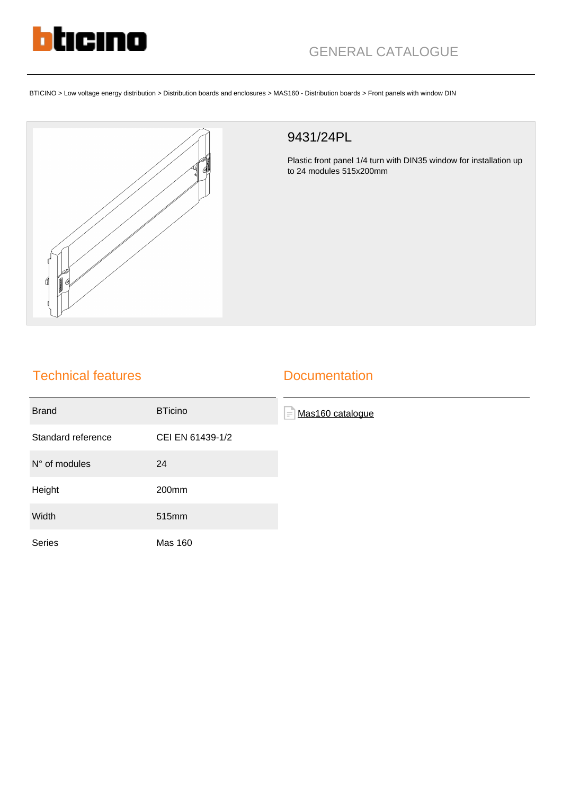

BTICINO > Low voltage energy distribution > Distribution boards and enclosures > MAS160 - Distribution boards > Front panels with window DIN



## 9431/24PL

Plastic front panel 1/4 turn with DIN35 window for installation up to 24 modules 515x200mm

## Technical features

## **Documentation**

| <b>Brand</b>       | <b>BTicino</b>   | E<br>Mas160 catalogue |
|--------------------|------------------|-----------------------|
| Standard reference | CEI EN 61439-1/2 |                       |
| $N°$ of modules    | 24               |                       |
| Height             | 200mm            |                       |
| Width              | 515mm            |                       |
| <b>Series</b>      | <b>Mas 160</b>   |                       |